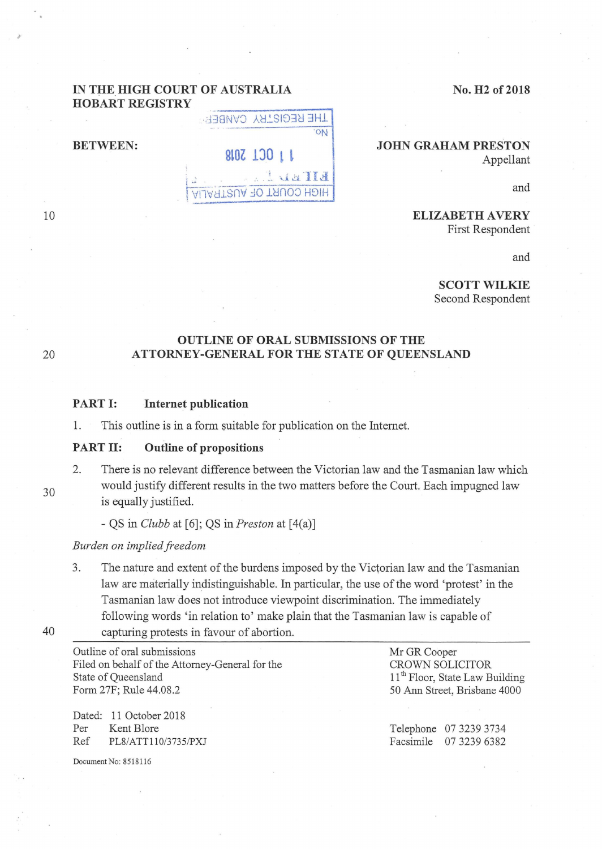No. **H2 of 2018** 

## **IN THE HIGH COURT OF AUSTRALIA HOBART REGISTRY**

THE REGISTRY CANBER

HIGH COURT OF AUSTRALIA

EITED L.

**BETWEEN:** 8.07 100 1 1

**JOHN GRAHAM PRESTON**  Appellant

and

**ELIZABETH A VERY**  First Respondent

and

**SCOTT WILKIE**  Second Respondent

## **OUTLINE OF ORAL SUBMISSIONS OF THE**  20 **ATTORNEY-GENERAL FOR THE STATE OF QUEENSLAND**

## **PART I:** Internet publication

1. This outline is in a form suitable for publication on the Internet.

#### **PART II: Outline of propositions**

2. There is no relevant difference between the Victorian law and the Tasmanian law which would justify different results in the two matters before the Court. Each impugned law is equally justified.

- QS in *Clubb* at [6]; QS in *Preston* at [ 4(a)]

#### *Burden on implied freedom*

3. The nature and extent of the burdens imposed by the Victorian law and the Tasmanian law are materially indistinguishable. In particular, the use of the word 'protest' in the Tasmanian law does not introduce viewpoint discrimination. The immediately following words 'in relation to' make plain that the Tasmanian law is capable of 40 capturing protests in favour of abortion.

Outline of oral submissions Filed on behalf of the Attorney-General for the State of Queensland Form 27F; Rule 44.08.2

Dated: 11 October 2018 Per Kent Blore Ref PLS/ATTll0/3735/PXJ

Document No: 8518116

Mr GR Cooper CROWN SOLICITOR 11<sup>th</sup> Floor, State Law Building 50 Ann Street, Brisbane 4000

Telephone 07 3239 3734 Facsimile 07 3239 6382

10

30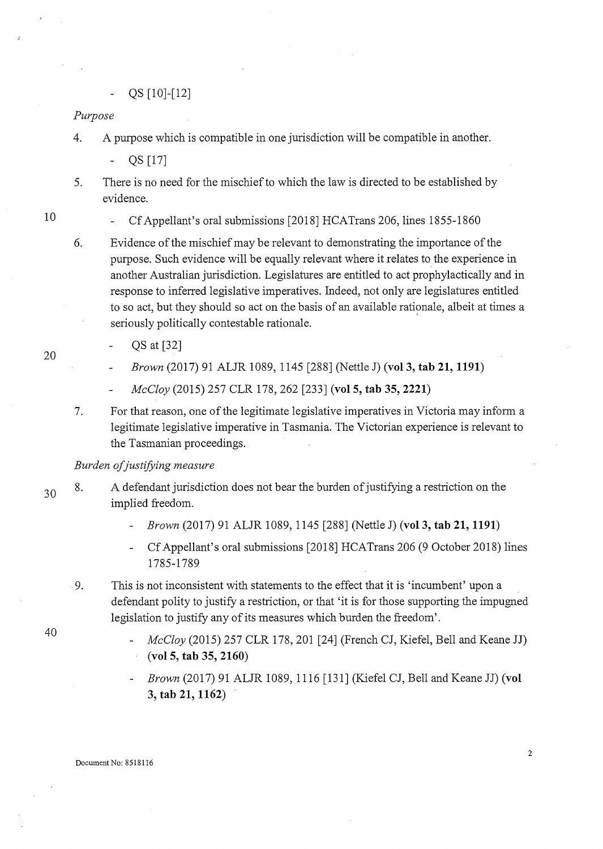QS [10]-[12]

*Purpose* 

4. A purpose which is compatible in one jurisdiction will be compatible in another.

QS [17]

- 5. There is no need for the mischief to which the law is directed to be established by evidence.
- 10

20

40

Cf Appellant's oral submissions [2018] HCATrans 206, lines 1855-1860

- 6. Evidence of the mischief may be relevant to demonstrating the importance of the purpose. Such evidence will be equally relevant where it relates to the experience in another Australian jurisdiction. Legislatures are entitled to act prophylactically and in response to inferred legislative imperatives. Indeed, not only are legislatures entitled to so act, but they should so act on the basis of an available rationale, albeit at times a seriously politically contestable rationale.
	- QS at [32]
	- *Brown* (2017) 91 ALJR 1089, 1145 [288] (Nettle J) **(vol3, tab 21, 1191)**
	- *McCloy* (2015) 257 CLR 178, 262 [233] **(vol 5, tab 35, 2221)**
- 7. For that reason, one of the legitimate legislative imperatives in Victoria may inform a legitimate legislative imperative in Tasmania. The Victorian experience is relevant to the Tasmanian proceedings.

# *Burden ofjustifying measure*

- 30 8. A defendant jurisdiction does not bear the burden of justifying a restriction on the implied freedom.
	- *Brown* (2017) 91 ALJR 1089, 1145 [288] (Nettle J) **(vol3, tab 21, 1191)**
	- Cf Appellant's oral submissions [2018] HCATrans 206 (9 October 2018) lines 1785-1789
	- 9. This is not inconsistent with statements to the effect that it is 'incumbent' upon a defendant polity to justify a restriction, or that 'it is for those supporting the impugned legislation to justify any of its measures which burden the freedom'.
		- *McCloy* (2015) 257 CLR 178, 201 [24] (French CJ, Kiefel, Bell and Keane JJ) **(vol5, tab 35, 2160)**
		- *Brown* (2017) 91 ALJR 1089, 1116 [131] (Kiefel CJ, Bell and Keane JJ) **(vol 3, tab 21, 1162)**

2